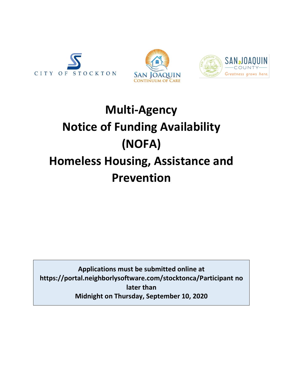





# **Multi-Agency Notice of Funding Availability (NOFA) Homeless Housing, Assistance and Prevention**

**Applications must be submitted online at https://portal.neighborlysoftware.com/stocktonca/Participant no later than Midnight on Thursday, September 10, 2020**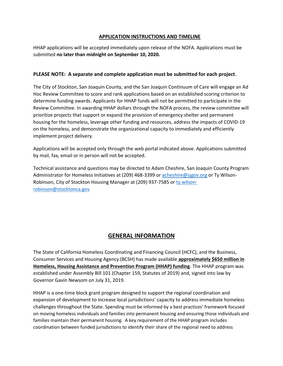### **APPLICATION INSTRUCTIONS AND TIMELINE**

HHAP applications will be accepted immediately upon release of the NOFA. Applications must be submitted **no later than midnight on September 10, 2020.**

## **PLEASE NOTE: A separate and complete application must be submitted for each project**.

The City of Stockton, San Joaquin County, and the San Joaquin Continuum of Care will engage an Ad Hoc Review Committee to score and rank applications based on an established scoring criterion to determine funding awards. Applicants for HHAP funds will not be permitted to participate in the Review Committee. In awarding HHAP dollars through the NOFA process, the review committee will prioritize projects that support or expand the provision of emergency shelter and permanent housing for the homeless, leverage other funding and resources, address the impacts of COVID-19 on the homeless, and demonstrate the organizational capacity to immediately and efficiently implement project delivery.

Applications will be accepted only through the web portal indicated above. Applications submitted by mail, fax, email or in person will not be accepted.

Technical assistance and questions may be directed to Adam Cheshire, San Joaquin County Program Administrator for Homeless Initiatives at (209) 468-3399 o[r acheshire@sjgov.org](mailto:acheshire@sjgov.org) or Ty Wilson-Robinson, City of Stockton Housing Manager at (209) 937-7585 or [ty.wilson](mailto:ty.wilson-robinson@stocktonca.gov)[robinson@stocktonca.gov](mailto:ty.wilson-robinson@stocktonca.gov) 

## **GENERAL INFORMATION**

The State of California Homeless Coordinating and Financing Council (HCFC), and the Business, Consumer Services and Housing Agency (BCSH) has made available **approximately \$650 million in Homeless, Housing Assistance and Prevention Program (HHAP) funding**. The HHAP program was established under Assembly Bill 101 (Chapter 159, Statutes of 2019) and, signed into law by Governor Gavin Newsom on July 31, 2019.

HHAP is a one-time block grant program designed to support the regional coordination and expansion of development to increase local jurisdictions' capacity to address immediate homeless challenges throughout the State. Spending must be informed by a best practices' framework focused on moving homeless individuals and families into permanent housing and ensuring those individuals and families maintain their permanent housing. A key requirement of the HHAP program includes coordination between funded jurisdictions to identify their share of the regional need to address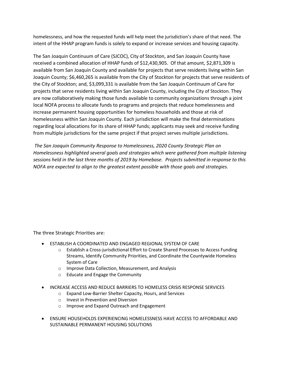homelessness, and how the requested funds will help meet the jurisdiction's share of that need. The intent of the HHAP program funds is solely to expand or increase services and housing capacity.

The San Joaquin Continuum of Care (SJCOC), City of Stockton, and San Joaquin County have received a combined allocation of HHAP funds of \$12,430,905. Of that amount, \$2,871,309 is available from San Joaquin County and available for projects that serve residents living within San Joaquin County; \$6,460,265 is available from the City of Stockton for projects that serve residents of the City of Stockton; and, \$3,099,331 is available from the San Joaquin Continuum of Care for projects that serve residents living within San Joaquin County, including the City of Stockton. They are now collaboratively making those funds available to community organizations through a joint local NOFA process to allocate funds to programs and projects that reduce homelessness and increase permanent housing opportunities for homeless households and those at risk of homelessness within San Joaquin County. Each jurisdiction will make the final determinations regarding local allocations for its share of HHAP funds; applicants may seek and receive funding from multiple jurisdictions for the same project if that project serves multiple jurisdictions.

*The San Joaquin Community Response to Homelessness, 2020 County Strategic Plan on Homelessness highlighted several goals and strategies which were gathered from multiple listening sessions held in the last three months of 2019 by Homebase. Projects submitted in response to this NOFA are expected to align to the greatest extent possible with those goals and strategies.* 

The three Strategic Priorities are:

- ESTABLISH A COORDINATED AND ENGAGED REGIONAL SYSTEM OF CARE
	- o Establish a Cross-jurisdictional Effort to Create Shared Processes to Access Funding Streams, Identify Community Priorities, and Coordinate the Countywide Homeless System of Care
	- o Improve Data Collection, Measurement, and Analysis
	- o Educate and Engage the Community
- INCREASE ACCESS AND REDUCE BARRIERS TO HOMELESS CRISIS RESPONSE SERVICES
	- o Expand Low-Barrier Shelter Capacity, Hours, and Services
	- o Invest in Prevention and Diversion
	- o Improve and Expand Outreach and Engagement
- ENSURE HOUSEHOLDS EXPERIENCING HOMELESSNESS HAVE ACCESS TO AFFORDABLE AND SUSTAINABLE PERMANENT HOUSING SOLUTIONS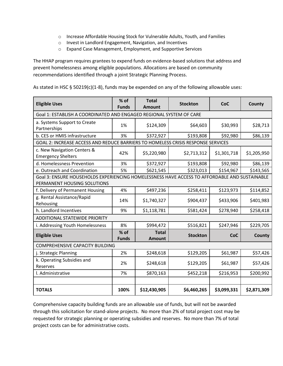- o Increase Affordable Housing Stock for Vulnerable Adults, Youth, and Families
- o Invest in Landlord Engagement, Navigation, and Incentives
- o Expand Case Management, Employment, and Supportive Services

The HHAP program requires grantees to expend funds on evidence-based solutions that address and prevent homelessness among eligible populations. Allocations are based on community recommendations identified through a joint Strategic Planning Process.

As stated in HSC § 50219(c)(1-8), funds may be expended on any of the following allowable uses:

| <b>Eligible Uses</b>                                                             | $%$ of<br><b>Funds</b>                                                                        | <b>Total</b><br><b>Amount</b> | <b>Stockton</b> | CoC         | County      |  |  |
|----------------------------------------------------------------------------------|-----------------------------------------------------------------------------------------------|-------------------------------|-----------------|-------------|-------------|--|--|
| Goal 1: ESTABLISH A COORDINATED AND ENGAGED REGIONAL SYSTEM OF CARE              |                                                                                               |                               |                 |             |             |  |  |
| a. Systems Support to Create<br>Partnerships                                     | 1%                                                                                            | \$124,309                     | \$64,603        | \$30,993    | \$28,713    |  |  |
| b. CES or HMIS infrastructure                                                    | 3%                                                                                            | \$372,927                     | \$193,808       | \$92,980    | \$86,139    |  |  |
| GOAL 2: INCREASE ACCESS AND REDUCE BARRIERS TO HOMELESS CRISIS RESPONSE SERVICES |                                                                                               |                               |                 |             |             |  |  |
| c. New Navigation Centers &<br><b>Emergency Shelters</b>                         | 42%                                                                                           | \$5,220,980                   | \$2,713,312     | \$1,301,718 | \$1,205,950 |  |  |
| d. Homelessness Prevention                                                       | 3%                                                                                            | \$372,927                     | \$193,808       | \$92,980    | \$86,139    |  |  |
| e. Outreach and Coordination                                                     | 5%                                                                                            | \$621,545                     | \$323,013       | \$154,967   | \$143,565   |  |  |
| PERMANENT HOUSING SOLUTIONS                                                      | Goal 3: ENSURE HOUSEHOLDS EXPERIENCING HOMELESSNESS HAVE ACCESS TO AFFORDABLE AND SUSTAINABLE |                               |                 |             |             |  |  |
| f. Delivery of Permanent Housing                                                 | 4%                                                                                            | \$497,236                     | \$258,411       | \$123,973   | \$114,852   |  |  |
| g. Rental Assistance/Rapid<br>Rehousing                                          | 14%                                                                                           | \$1,740,327                   | \$904,437       | \$433,906   | \$401,983   |  |  |
| h. Landlord Incentives                                                           | 9%                                                                                            | \$1,118,781                   | \$581,424       | \$278,940   | \$258,418   |  |  |
| ADDITIONAL STATEWIDE PRIORITY                                                    |                                                                                               |                               |                 |             |             |  |  |
| i. Addressing Youth Homelessness                                                 | 8%                                                                                            | \$994,472                     | \$516,821       | \$247,946   | \$229,705   |  |  |
| <b>Eligible Uses</b>                                                             | $%$ of<br><b>Funds</b>                                                                        | <b>Total</b><br><b>Amount</b> | <b>Stockton</b> | <b>CoC</b>  | County      |  |  |
| <b>COMPREHENSIVE CAPACITY BUILDING</b>                                           |                                                                                               |                               |                 |             |             |  |  |
| j. Strategic Planning                                                            | 2%                                                                                            | \$248,618                     | \$129,205       | \$61,987    | \$57,426    |  |  |
| k. Operating Subsidies and<br>Reserves                                           | 2%                                                                                            | \$248,618                     | \$129,205       | \$61,987    | \$57,426    |  |  |
| I. Administrative                                                                | 7%                                                                                            | \$870,163                     | \$452,218       | \$216,953   | \$200,992   |  |  |
|                                                                                  |                                                                                               |                               |                 |             |             |  |  |
| <b>TOTALS</b>                                                                    | 100%                                                                                          | \$12,430,905                  | \$6,460,265     | \$3,099,331 | \$2,871,309 |  |  |

Comprehensive capacity building funds are an allowable use of funds, but will not be awarded through this solicitation for stand-alone projects. No more than 2% of total project cost may be requested for strategic planning or operating subsidies and reserves. No more than 7% of total project costs can be for administrative costs.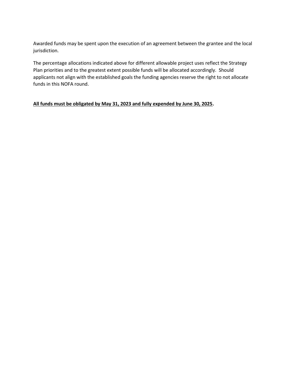Awarded funds may be spent upon the execution of an agreement between the grantee and the local jurisdiction.

The percentage allocations indicated above for different allowable project uses reflect the Strategy Plan priorities and to the greatest extent possible funds will be allocated accordingly. Should applicants not align with the established goals the funding agencies reserve the right to not allocate funds in this NOFA round.

**All funds must be obligated by May 31, 2023 and fully expended by June 30, 2025.**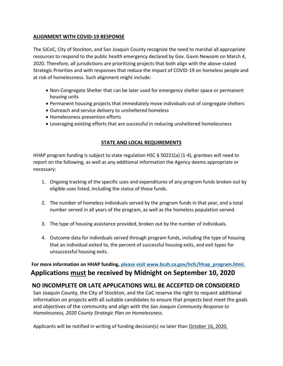## **ALIGNMENT WITH COVID-19 RESPONSE**

The SJCoC, City of Stockton, and San Joaquin County recognize the need to marshal all appropriate resources to respond to the public health emergency declared by Gov. Gavin Newsom on March 4, 2020. Therefore, all jurisdictions are prioritizing projects that both align with the above-stated Strategic Priorities and with responses that reduce the impact of COVID-19 on homeless people and at risk of homelessness. Such alignment might include:

- Non-Congregate Shelter that can be later used for emergency shelter space or permanent housing units
- Permanent housing projects that immediately move individuals out of congregate shelters
- Outreach and service delivery to unsheltered homeless
- Homelessness prevention efforts
- Leveraging existing efforts that are successful in reducing unsheltered homelessness

## **STATE AND LOCAL REQUIREMENTS**

HHAP program funding is subject to state regulation HSC § 50221(a) (1-4), grantees will need to report on the following, as well as any additional information the Agency deems appropriate or necessary:

- 1. Ongoing tracking of the specific uses and expenditures of any program funds broken out by eligible uses listed, including the status of those funds.
- 2. The number of homeless individuals served by the program funds in that year, and a total number served in all years of the program, as well as the homeless population served.
- 3. The type of housing assistance provided, broken out by the number of individuals.
- 4. Outcome data for individuals served through program funds, including the type of housing that an individual exited to, the percent of successful housing exits, and exit types for unsuccessful housing exits.

# **For more information on HHAP funding, please visit www.bcsh.ca.gov/hcfc/hhap\_program.html. Applications must be received by Midnight on September 10, 2020**

## **NO INCOMPLETE OR LATE APPLICATIONS WILL BE ACCEPTED OR CONSIDERED**

San Joaquin County, the City of Stockton, and the CoC reserve the right to request additional information on projects with all suitable candidates to ensure that projects best meet the goals and objectives of the community and align with the *San Joaquin Community Response to Homelessness, 2020 County Strategic Plan on Homelessness.* 

Applicants will be notified in writing of funding decision(s) no later than October 16, 2020.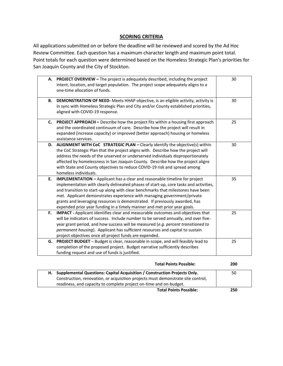## **SCORING CRITERIA**

All applications submitted on or before the deadline will be reviewed and scored by the Ad Hoc Review Committee. Each question has a maximum character length and maximum point total. Point totals for each question were determined based on the Homeless Strategic Plan's priorities for San Joaquin County and the City of Stockton.

| <b>PROJECT OVERVIEW - The project is adequately described, including the project</b><br>30<br>А.<br>intent, location, and target population. The project scope adequately aligns to a<br>one-time allocation of funds.<br><b>DEMONSTRATION OF NEED-</b> Meets HHAP objective, is an eligible activity, activity is<br>30<br>В.<br>in sync with Homeless Strategic Plan and City and/or County established priorities,<br>aligned with COVID-19 response.<br><b>PROJECT APPROACH - Describe how the project fits within a housing first approach</b><br>25<br>C.<br>and the coordinated continuum of care. Describe how the project will result in<br>expanded (increase capacity) or improved (better approach) housing or homeless<br>assistance services.<br>D. ALIGNMENT WITH CoC STRATEGIC PLAN - Clearly identify the objective(s) within<br>30<br>the CoC Strategic Plan that the project aligns with. Describe how the project will<br>address the needs of the unserved or underserved individuals disproportionately<br>affected by homelessness in San Joaquin County. Describe how the project aligns<br>with State and County objectives to reduce COVID-19 risk and spread among<br>homeless individuals.<br><b>IMPLEMENTATION</b> - Applicant has a clear and reasonable timeline for project<br>35<br>Ε.<br>implementation with clearly delineated phases of start-up, core tasks and activities,<br>and transition to start-up along with clear benchmarks that milestones have been<br>met. Applicant demonstrates experience with managing government/private<br>grants and leveraging resources is demonstrated. If previously awarded, has<br>expended prior year funding in a timely manner and met prior year goals.<br><b>IMPACT</b> - Applicant identifies clear and measurable outcomes and objectives that<br>25<br>F.<br>will be indicators of success. Include number to be served annually, and over five-<br>year grant period, and how success will be measured (e.g. percent transitioned to<br>permanent housing). Applicant has sufficient resources and capital to sustain<br>project objectives once all project funds are expended.<br>G. PROJECT BUDGET - Budget is clear, reasonable in scope, and will feasibly lead to<br>25<br>completion of the proposed project. Budget narrative sufficiently describes<br>funding request and use of funds is justified. |  |  |
|--------------------------------------------------------------------------------------------------------------------------------------------------------------------------------------------------------------------------------------------------------------------------------------------------------------------------------------------------------------------------------------------------------------------------------------------------------------------------------------------------------------------------------------------------------------------------------------------------------------------------------------------------------------------------------------------------------------------------------------------------------------------------------------------------------------------------------------------------------------------------------------------------------------------------------------------------------------------------------------------------------------------------------------------------------------------------------------------------------------------------------------------------------------------------------------------------------------------------------------------------------------------------------------------------------------------------------------------------------------------------------------------------------------------------------------------------------------------------------------------------------------------------------------------------------------------------------------------------------------------------------------------------------------------------------------------------------------------------------------------------------------------------------------------------------------------------------------------------------------------------------------------------------------------------------------------------------------------------------------------------------------------------------------------------------------------------------------------------------------------------------------------------------------------------------------------------------------------------------------------------------------------------------------------------------------------------------------------------------------------------------------------------------|--|--|
|                                                                                                                                                                                                                                                                                                                                                                                                                                                                                                                                                                                                                                                                                                                                                                                                                                                                                                                                                                                                                                                                                                                                                                                                                                                                                                                                                                                                                                                                                                                                                                                                                                                                                                                                                                                                                                                                                                                                                                                                                                                                                                                                                                                                                                                                                                                                                                                                        |  |  |
|                                                                                                                                                                                                                                                                                                                                                                                                                                                                                                                                                                                                                                                                                                                                                                                                                                                                                                                                                                                                                                                                                                                                                                                                                                                                                                                                                                                                                                                                                                                                                                                                                                                                                                                                                                                                                                                                                                                                                                                                                                                                                                                                                                                                                                                                                                                                                                                                        |  |  |
|                                                                                                                                                                                                                                                                                                                                                                                                                                                                                                                                                                                                                                                                                                                                                                                                                                                                                                                                                                                                                                                                                                                                                                                                                                                                                                                                                                                                                                                                                                                                                                                                                                                                                                                                                                                                                                                                                                                                                                                                                                                                                                                                                                                                                                                                                                                                                                                                        |  |  |
|                                                                                                                                                                                                                                                                                                                                                                                                                                                                                                                                                                                                                                                                                                                                                                                                                                                                                                                                                                                                                                                                                                                                                                                                                                                                                                                                                                                                                                                                                                                                                                                                                                                                                                                                                                                                                                                                                                                                                                                                                                                                                                                                                                                                                                                                                                                                                                                                        |  |  |
|                                                                                                                                                                                                                                                                                                                                                                                                                                                                                                                                                                                                                                                                                                                                                                                                                                                                                                                                                                                                                                                                                                                                                                                                                                                                                                                                                                                                                                                                                                                                                                                                                                                                                                                                                                                                                                                                                                                                                                                                                                                                                                                                                                                                                                                                                                                                                                                                        |  |  |
|                                                                                                                                                                                                                                                                                                                                                                                                                                                                                                                                                                                                                                                                                                                                                                                                                                                                                                                                                                                                                                                                                                                                                                                                                                                                                                                                                                                                                                                                                                                                                                                                                                                                                                                                                                                                                                                                                                                                                                                                                                                                                                                                                                                                                                                                                                                                                                                                        |  |  |
|                                                                                                                                                                                                                                                                                                                                                                                                                                                                                                                                                                                                                                                                                                                                                                                                                                                                                                                                                                                                                                                                                                                                                                                                                                                                                                                                                                                                                                                                                                                                                                                                                                                                                                                                                                                                                                                                                                                                                                                                                                                                                                                                                                                                                                                                                                                                                                                                        |  |  |

|    | <b>Total Points Possible:</b>                                                    | 200 |
|----|----------------------------------------------------------------------------------|-----|
| Н. | Supplemental Questions: Capital Acquisition / Construction Projects Only.        | 50  |
|    | Construction, renovation, or acquisition projects must demonstrate site control, |     |
|    | readiness, and capacity to complete project on-time and on-budget.               |     |
|    | <b>Total Points Possible:</b>                                                    | 250 |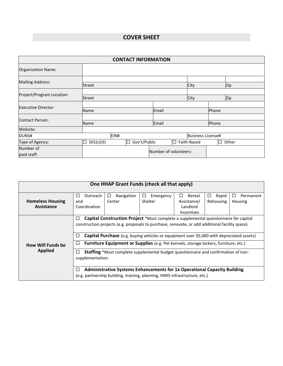## **COVER SHEET**

| <b>CONTACT INFORMATION</b> |                |      |                   |                       |    |                          |       |       |
|----------------------------|----------------|------|-------------------|-----------------------|----|--------------------------|-------|-------|
| <b>Organization Name:</b>  |                |      |                   |                       |    |                          |       |       |
| <b>Mailing Address:</b>    |                |      |                   |                       |    |                          |       |       |
|                            | <b>Street</b>  |      |                   |                       |    | City                     |       | Zip   |
| Project/Program Location:  |                |      |                   |                       |    |                          |       |       |
|                            | <b>Street</b>  |      |                   |                       |    | City                     |       | Zip   |
| <b>Executive Director:</b> |                |      |                   |                       |    |                          |       |       |
|                            | Name           |      |                   | Email                 |    |                          | Phone |       |
| Contact Person:            |                |      |                   |                       |    |                          |       |       |
|                            | Name           |      |                   | Email                 |    |                          | Phone |       |
| Website:                   |                |      |                   |                       |    |                          |       |       |
| DUNS#                      |                | EIN# |                   |                       |    | <b>Business License#</b> |       |       |
| Type of Agency:            | 501(c)(3)<br>□ |      | Gov't/Public<br>⊓ |                       | IП | Faith-Based              | П     | Other |
| Number of                  |                |      |                   | Number of volunteers: |    |                          |       |       |
| paid staff:                |                |      |                   |                       |    |                          |       |       |

| One HHAP Grant Funds (check all that apply)                                                                                                                        |                                                                                                                                                                                                                                                                                                                                                                                                           |                           |                           |                                                                  |                         |                           |
|--------------------------------------------------------------------------------------------------------------------------------------------------------------------|-----------------------------------------------------------------------------------------------------------------------------------------------------------------------------------------------------------------------------------------------------------------------------------------------------------------------------------------------------------------------------------------------------------|---------------------------|---------------------------|------------------------------------------------------------------|-------------------------|---------------------------|
| <b>Homeless Housing</b><br>Assistance                                                                                                                              | Outreach<br>□<br>and<br>Coordination                                                                                                                                                                                                                                                                                                                                                                      | Navigation<br>⊔<br>Center | Emergency<br>⊔<br>Shelter | Rental<br>$\Box$<br>Assistance/<br>Landlord<br><b>Incentives</b> | Rapid<br>⊔<br>Rehousing | ⊔<br>Permanent<br>Housing |
|                                                                                                                                                                    | <b>Capital Construction Project *Must complete a supplemental questionnaire for capital</b><br>□<br>construction projects (e.g. proposals to purchase, renovate, or add additional facility space).<br>Capital Purchase (e.g. buying vehicles or equipment over \$5,000 with depreciated assets)<br>□<br><b>Furniture Equipment or Supplies</b> (e.g. Pet kennels, storage lockers, furniture, etc.)<br>□ |                           |                           |                                                                  |                         |                           |
| <b>How Will Funds be</b><br><b>Applied</b>                                                                                                                         |                                                                                                                                                                                                                                                                                                                                                                                                           |                           |                           |                                                                  |                         |                           |
| <b>Staffing</b> *Must complete supplemental budget questionnaire and confirmation of non-<br>ப<br>supplementation.                                                 |                                                                                                                                                                                                                                                                                                                                                                                                           |                           |                           |                                                                  |                         |                           |
| <b>Administrative Systems Enhancements for 1x Operational Capacity Building</b><br>□<br>(e.g. partnership building, training, planning, HMIS infrastructure, etc.) |                                                                                                                                                                                                                                                                                                                                                                                                           |                           |                           |                                                                  |                         |                           |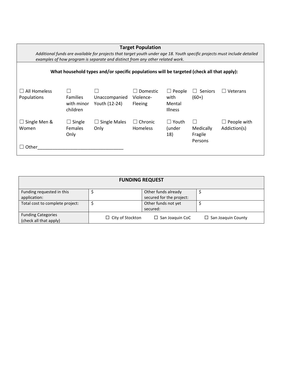## **Target Population**

*Additional funds are available for projects that target youth under age 18. Youth specific projects must include detailed examples of how program is separate and distinct from any other related work*.

## **What household types and/or specific populations will be targeted (check all that apply):**

| All Homeless<br>$\perp$<br>Populations | <b>Families</b><br>with minor<br>children | Unaccompanied<br>Youth (12-24) | $\Box$ Domestic<br>Violence-<br>Fleeing | $\Box$ People<br>with<br>Mental<br><b>Illness</b> | Seniors<br>$(60+)$                                | Veterans<br>$\perp$                |
|----------------------------------------|-------------------------------------------|--------------------------------|-----------------------------------------|---------------------------------------------------|---------------------------------------------------|------------------------------------|
| $\Box$ Single Men &<br>Women           | $\Box$ Single<br><b>Females</b><br>Only   | $\Box$ Single Males<br>Only    | $\Box$ Chronic<br><b>Homeless</b>       | $\Box$ Youth<br>(under<br>18)                     | $\blacksquare$<br>Medically<br>Fragile<br>Persons | $\Box$ People with<br>Addiction(s) |
| Other<br>$\Box$                        |                                           |                                |                                         |                                                   |                                                   |                                    |

| <b>FUNDING REQUEST</b>                              |                         |                                                 |                           |  |  |  |
|-----------------------------------------------------|-------------------------|-------------------------------------------------|---------------------------|--|--|--|
| Funding requested in this<br>application:           |                         | Other funds already<br>secured for the project: |                           |  |  |  |
| Total cost to complete project:                     |                         | Other funds not yet<br>secured:                 |                           |  |  |  |
| <b>Funding Categories</b><br>(check all that apply) | $\Box$ City of Stockton | $\Box$ San Joaquin CoC                          | $\Box$ San Joaquin County |  |  |  |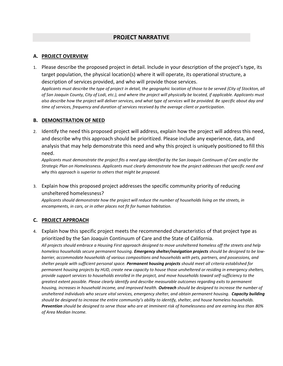## **PROJECT NARRATIVE**

#### **A. PROJECT OVERVIEW**

1. Please describe the proposed project in detail. Include in your description of the project's type, its target population, the physical location(s) where it will operate, its operational structure, a description of services provided, and who will provide those services.

*Applicants must describe the type of project in detail, the geographic location of those to be served (City of Stockton, all of San Joaquin County, City of Lodi, etc.), and where the project will physically be located, if applicable. Applicants must also describe how the project will deliver services, and what type of services will be provided. Be specific about day and time of services, frequency and duration of services received by the average client or participation.*

#### **B. DEMONSTRATION OF NEED**

2. Identify the need this proposed project will address, explain how the project will address this need, and describe why this approach should be prioritized. Please include any experience, data, and analysis that may help demonstrate this need and why this project is uniquely positioned to fill this need.

*Applicants must demonstrate the project fits a need gap identified by the San Joaquin Continuum of Care and/or the Strategic Plan on Homelessness. Applicants must clearly demonstrate how the project addresses that specific need and why this approach is superior to others that might be proposed.* 

3. Explain how this proposed project addresses the specific community priority of reducing unsheltered homelessness?

*Applicants should demonstrate how the project will reduce the number of households living on the streets, in encampments, in cars, or in other places not fit for human habitation.*

## **C. PROJECT APPROACH**

4. Explain how this specific project meets the recommended characteristics of that project type as prioritized by the San Joaquin Continuum of Care and the State of California.

*All projects should embrace a Housing First approach designed to move unsheltered homeless off the streets and help homeless households secure permanent housing. Emergency shelter/navigation projects should be designed to be lowbarrier, accommodate households of various compositions and households with pets, partners, and possessions, and shelter people with sufficient personal space. Permanent housing projects should meet all criteria established for permanent housing projects by HUD, create new capacity to house those unsheltered or residing in emergency shelters, provide support services to households enrolled in the project, and move households toward self-sufficiency to the greatest extent possible. Please clearly identify and describe measurable outcomes regarding exits to permanent housing, increases in household income, and improved health. Outreach should be designed to increase the number of unsheltered individuals who secure vital services, emergency shelter, and obtain permanent housing. Capacity building should be designed to increase the entire community's ability to identify, shelter, and house homeless households. Prevention should be designed to serve those who are at imminent risk of homelessness and are earning less than 80% of Area Median Income.*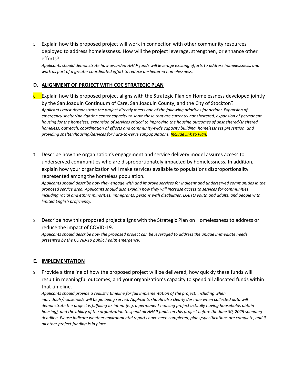5. Explain how this proposed project will work in connection with other community resources deployed to address homelessness. How will the project leverage, strengthen, or enhance other efforts?

*Applicants should demonstrate how awarded HHAP funds will leverage existing efforts to address homelessness, and work as part of a greater coordinated effort to reduce unsheltered homelessness.* 

## **D. ALIGNMENT OF PROJECT WITH COC STRATEGIC PLAN**

- 6. Explain how this proposed project aligns with the Strategic Plan on Homelessness developed jointly by the San Joaquin Continuum of Care, San Joaquin County, and the City of Stockton? *Applicants must demonstrate the project directly meets one of the following priorities for action: Expansion of emergency shelter/navigation center capacity to serve those that are currently not sheltered, expansion of permanent housing for the homeless, expansion of services critical to improving the housing outcomes of unsheltered/sheltered homeless, outreach, coordination of efforts and community-wide capacity building, homelessness prevention, and providing shelter/housing/services for hard-to-serve subpopulations. Include link to Plan.*
- 7. Describe how the organization's engagement and service delivery model assures access to underserved communities who are disproportionately impacted by homelessness. In addition, explain how your organization will make services available to populations disproportionality represented among the homeless population*.*

*Applicants should describe how they engage with and improve services for indigent and underserved communities in the proposed service area. Applicants should also explain how they will increase access to services for communities including racial and ethnic minorities, immigrants, persons with disabilities, LGBTQ youth and adults, and people with limited English proficiency.* 

8. Describe how this proposed project aligns with the Strategic Plan on Homelessness to address or reduce the impact of COVID-19.

*Applicants should describe how the proposed project can be leveraged to address the unique immediate needs presented by the COVID-19 public health emergency.*

## **E. IMPLEMENTATION**

9. Provide a timeline of how the proposed project will be delivered, how quickly these funds will result in meaningful outcomes, and your organization's capacity to spend all allocated funds within that timeline.

*Applicants should provide a realistic timeline for full implementation of the project, including when*  individuals/households will begin being served. Applicants should also clearly describe when collected data will *demonstrate the project is fulfilling its intent (e.g. a permanent housing project actually having households obtain housing), and the ability of the organization to spend all HHAP funds on this project before the June 30, 2025 spending deadline. Please indicate whether environmental reports have been completed, plans/specifications are complete, and if all other project funding is in place.*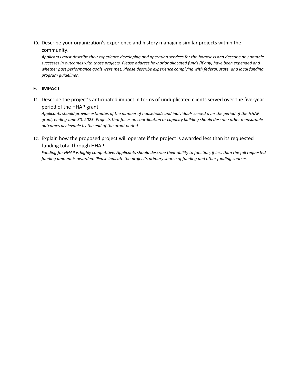10. Describe your organization's experience and history managing similar projects within the community.

*Applicants must describe their experience developing and operating services for the homeless and describe any notable successes in outcomes with those projects. Please address how prior allocated funds (if any) have been expended and*  whether past performance goals were met. Please describe experience complying with federal, state, and local funding *program guidelines.*

## **F. IMPACT**

11. Describe the project's anticipated impact in terms of unduplicated clients served over the five-year period of the HHAP grant.

*Applicants should provide estimates of the number of households and individuals served over the period of the HHAP grant, ending June 30, 2025. Projects that focus on coordination or capacity building should describe other measurable outcomes achievable by the end of the grant period.*

12. Explain how the proposed project will operate if the project is awarded less than its requested funding total through HHAP.

*Funding for HHAP is highly competitive. Applicants should describe their ability to function, if less than the full requested funding amount is awarded. Please indicate the project's primary source of funding and other funding sources.*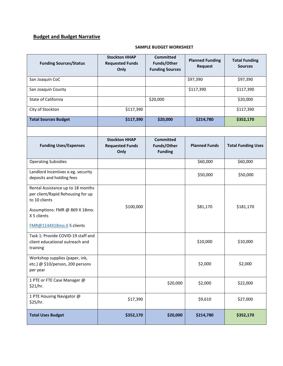## **Budget and Budget Narrative**

#### **SAMPLE BUDGET WORKSHEET**

| <b>Funding Sources/Status</b>                                                                                                                                         | <b>Stockton HHAP</b><br><b>Requested Funds</b><br>Only | <b>Committed</b><br>Funds/Other<br><b>Funding Sources</b> | <b>Planned Funding</b><br><b>Request</b> | <b>Total Funding</b><br><b>Sources</b> |
|-----------------------------------------------------------------------------------------------------------------------------------------------------------------------|--------------------------------------------------------|-----------------------------------------------------------|------------------------------------------|----------------------------------------|
| San Joaquin CoC                                                                                                                                                       |                                                        |                                                           | \$97,390                                 | \$97,390                               |
| San Joaquin County                                                                                                                                                    |                                                        |                                                           | \$117,390                                | \$117,390                              |
| State of California                                                                                                                                                   |                                                        | \$20,000                                                  |                                          | \$20,000                               |
| City of Stockton                                                                                                                                                      | \$117,390                                              |                                                           |                                          | \$117,390                              |
| <b>Total Sources Budget</b>                                                                                                                                           | \$117,390                                              | \$20,000                                                  | \$214,780                                | \$352,170                              |
|                                                                                                                                                                       |                                                        |                                                           |                                          |                                        |
| <b>Funding Uses/Expenses</b>                                                                                                                                          | <b>Stockton HHAP</b><br><b>Requested Funds</b><br>Only | <b>Committed</b><br>Funds/Other<br><b>Funding</b>         | <b>Planned Funds</b>                     | <b>Total Funding Uses</b>              |
| <b>Operating Subsidies</b>                                                                                                                                            |                                                        |                                                           | \$60,000                                 | \$60,000                               |
| Landlord Incentives e.eg. security<br>deposits and holding fees                                                                                                       |                                                        |                                                           | \$50,000                                 | \$50,000                               |
| Rental Assistance up to 18 months<br>per client/Rapid Rehousing for up<br>to 10 clients<br>Assumptions: FMR @ 869 X 18mo.<br>X 5 clients<br>FMR@1144X18mo.X 5 clients | \$100,000                                              |                                                           | \$81,170                                 | \$181,170                              |
| Task 1: Provide COVID-19 staff and<br>client educational outreach and<br>training                                                                                     |                                                        |                                                           | \$10,000                                 | \$10,000                               |
| Workshop supplies (paper, ink,<br>etc.) @ \$10/person, 200 persons<br>per year                                                                                        |                                                        |                                                           | \$2,000                                  | \$2,000                                |
| 1 PTE or FTE Case Manager @<br>\$21/hr.                                                                                                                               |                                                        | \$20,000                                                  | \$2,000                                  | \$22,000                               |
| 1 PTE Housing Navigator @<br>\$25/hr.                                                                                                                                 | \$17,390                                               |                                                           | \$9,610                                  | \$27,000                               |
| <b>Total Uses Budget</b>                                                                                                                                              | \$352,170                                              | \$20,000                                                  | \$214,780                                | \$352,170                              |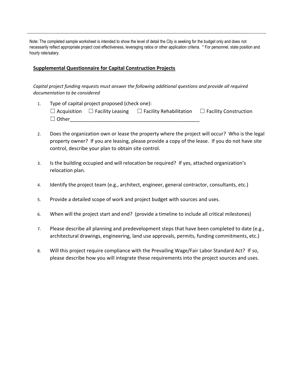Note: The completed sample worksheet is intended to show the level of detail the City is seeking for the budget only and does not necessarily reflect appropriate project cost effectiveness, leveraging ratios or other application criteria. \* For personnel, state position and hourly rate/salary.

## **Supplemental Questionnaire for Capital Construction Projects**

*Capital project funding requests must answer the following additional questions and provide all required documentation to be considered*

- 1. Type of capital project proposed (check one): ☐ Acquisition ☐ Facility Leasing ☐ Facility Rehabilitation ☐ Facility Construction  $\Box$  Other
- 2. Does the organization own or lease the property where the project will occur? Who is the legal property owner? If you are leasing, please provide a copy of the lease. If you do not have site control, describe your plan to obtain site control.
- 3. Is the building occupied and will relocation be required? If yes, attached organization's relocation plan.
- 4. Identify the project team (e.g., architect, engineer, general contractor, consultants, etc.)
- 5. Provide a detailed scope of work and project budget with sources and uses.
- 6. When will the project start and end? (provide a timeline to include all critical milestones)
- 7. Please describe all planning and predevelopment steps that have been completed to date (e.g., architectural drawings, engineering, land use approvals, permits, funding commitments, etc.)
- 8. Will this project require compliance with the Prevailing Wage/Fair Labor Standard Act? If so, please describe how you will integrate these requirements into the project sources and uses.